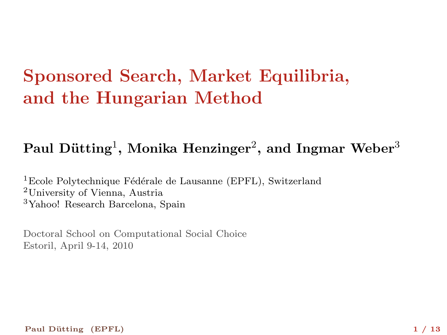# Sponsored Search, Market Equilibria, and the Hungarian Method

### Paul Dütting $^1$ , Monika Henzinger $^2$ , and Ingmar Weber $^3$

 ${}^{1}$ Ecole Polytechnique Fédérale de Lausanne (EPFL), Switzerland <sup>2</sup>University of Vienna, Austria <sup>3</sup>Yahoo! Research Barcelona, Spain

Doctoral School on Computational Social Choice Estoril, April 9-14, 2010

Paul Dütting (EPFL) 1 / 13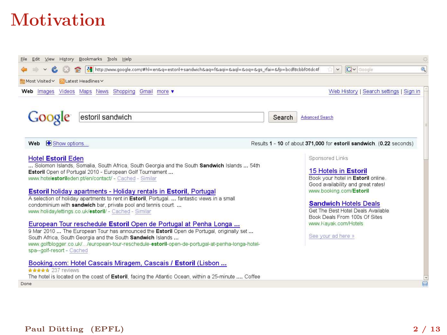## Motivation

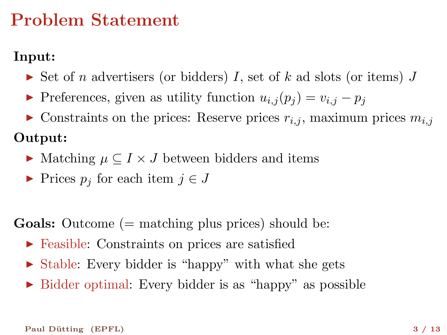### Problem Statement

### Input:

- $\triangleright$  Set of n advertisers (or bidders) I, set of k ad slots (or items) J
- Preferences, given as utility function  $u_{i,j}(p_j) = v_{i,j} p_j$
- $\triangleright$  Constraints on the prices: Reserve prices  $r_{i,j}$ , maximum prices  $m_{i,j}$

#### Output:

- $\blacktriangleright$  Matching  $\mu \subset I \times J$  between bidders and items
- ► Prices  $p_j$  for each item  $j \in J$

**Goals:** Outcome  $(=$  matching plus prices) should be:

- ▶ Feasible: Constraints on prices are satisfied
- $\triangleright$  Stable: Every bidder is "happy" with what she gets
- ► Bidder optimal: Every bidder is as "happy" as possible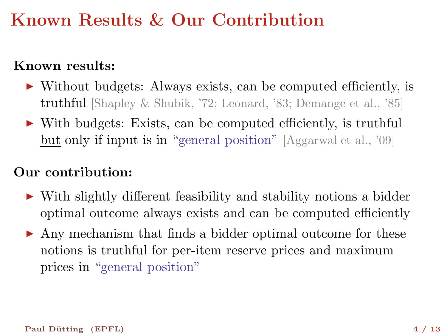## Known Results & Our Contribution

### Known results:

- ▶ Without budgets: Always exists, can be computed efficiently, is truthful [Shapley & Shubik, '72; Leonard, '83; Demange et al., '85]
- ▶ With budgets: Exists, can be computed efficiently, is truthful but only if input is in "general position" [Aggarwal et al., '09]

#### Our contribution:

- ► With slightly different feasibility and stability notions a bidder optimal outcome always exists and can be computed efficiently
- ▶ Any mechanism that finds a bidder optimal outcome for these notions is truthful for per-item reserve prices and maximum prices in "general position"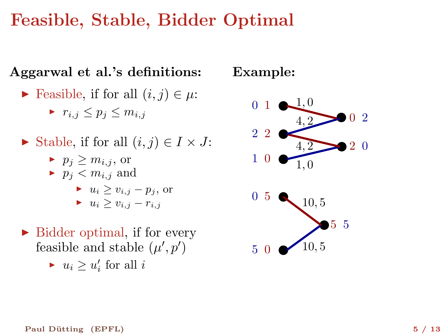### Feasible, Stable, Bidder Optimal

### Aggarwal et al.'s definitions:

► Feasible, if for all  $(i, j) \in \mu$ :

 $r_{i,j} \leq p_i \leq m_{i,j}$ 

- ► Stable, if for all  $(i, j) \in I \times J$ :
	- $p_i \geq m_{i,j}$ , or
	- $\blacktriangleright$   $p_i < m_{i,j}$  and
		- $u_i > v_{i,j} p_j$ , or  $u_i \geq v_{i,j} - r_{i,j}$
- $\triangleright$  Bidder optimal, if for every feasible and stable  $(\mu', p')$ 
	- ►  $u_i \geq u'_i$  for all  $i$

### Example:

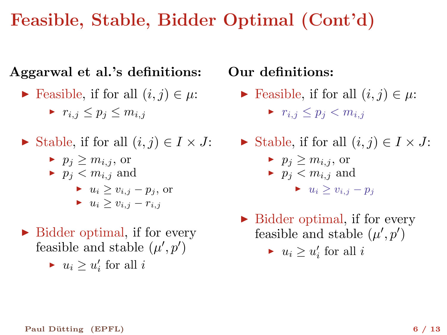# Feasible, Stable, Bidder Optimal (Cont'd)

### Aggarwal et al.'s definitions:

► Feasible, if for all  $(i, j) \in \mu$ :

 $r_{i,j} \leq p_i \leq m_{i,j}$ 

- ► Stable, if for all  $(i, j) \in I \times J$ :
	- $p_i \geq m_{i,j}$ , or
	- $\blacktriangleright$   $p_i < m_{i,j}$  and

\n- $$
u_i \geq v_{i,j} - p_j
$$
, or
\n- $u_i \geq v_{i,j} - r_{i,j}$
\n

- $\triangleright$  Bidder optimal, if for every feasible and stable  $(\mu', p')$ 
	- ►  $u_i \geq u'_i$  for all  $i$

### Our definitions:

- ► Feasible, if for all  $(i, j) \in \mu$ :  $\blacktriangleright$   $r_{i,j} \leq p_i < m_{i,j}$
- ► Stable, if for all  $(i, j) \in I \times J$ :
	- $p_i \geq m_{i,j}$ , or  $\blacktriangleright$   $p_j < m_{i,j}$  and
		- $u_i > v_{i,j} p_j$
- $\triangleright$  Bidder optimal, if for every feasible and stable  $(\mu', p')$ 
	- ►  $u_i \geq u'_i$  for all  $i$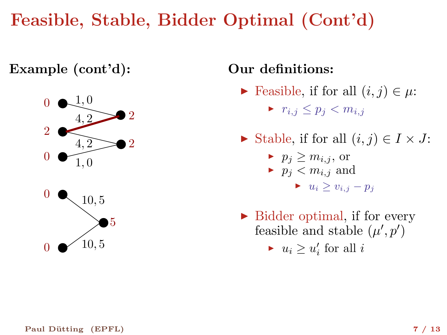# Feasible, Stable, Bidder Optimal (Cont'd)

Example (cont'd):



### Our definitions:

- Feasible, if for all  $(i, j) \in \mu$ :
	- $r_{i,j} \leq p_i < m_{i,j}$
- $\blacktriangleright$  Stable, if for all  $(i, j) \in I \times J$ :
	- $p_i \geq m_{i,j}$ , or  $\blacktriangleright$   $p_i < m_{i,i}$  and
		- $u_i \geq v_{i,j} p_j$
- $\triangleright$  Bidder optimal, if for every feasible and stable  $(\mu', p')$ 
	- ►  $u_i \geq u'_i$  for all  $i$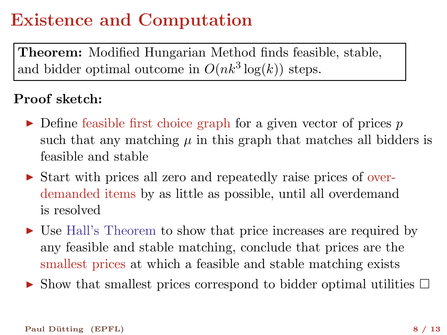# Existence and Computation

Theorem: Modified Hungarian Method finds feasible, stable, and bidder optimal outcome in  $O(nk^3 \log(k))$  steps.

#### Proof sketch:

- $\triangleright$  Define feasible first choice graph for a given vector of prices p such that any matching  $\mu$  in this graph that matches all bidders is feasible and stable
- ► Start with prices all zero and repeatedly raise prices of overdemanded items by as little as possible, until all overdemand is resolved
- ► Use Hall's Theorem to show that price increases are required by any feasible and stable matching, conclude that prices are the smallest prices at which a feasible and stable matching exists
- $\triangleright$  Show that smallest prices correspond to bidder optimal utilities  $\Box$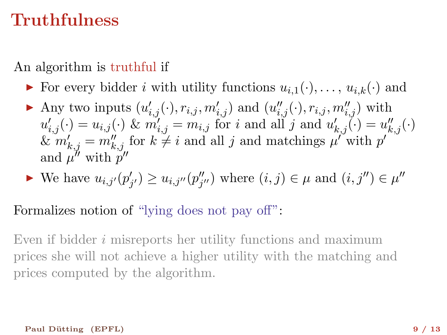### Truthfulness

An algorithm is truthful if

- ▶ For every bidder *i* with utility functions  $u_{i,1}(\cdot), \ldots, u_{i,k}(\cdot)$  and
- Any two inputs  $(u'_{i,j}(\cdot), r_{i,j}, m'_{i,j})$  and  $(u''_{i,j}(\cdot), r_{i,j}, m''_{i,j})$  with  $u'_{i,j}(\cdot) = u_{i,j}(\cdot)$  &  $m'_{i,j} = m_{i,j}$  for i and all j and  $u'_{k,j}(\cdot) = u''_{k,j}(\cdot)$  $\& m'_{k,j} = m''_{k,j}$  for  $k \neq i$  and all j and matchings  $\mu''$  with p' and  $\mu''$  with  $p''$
- $\blacktriangleright$  We have  $u_{i,j'}(p'_{j'})$  $y'_{j'}$ )  $\geq u_{i,j''}(p''_j)$  $'_{j''})$  where  $(i, j) \in \mu$  and  $(i, j'') \in \mu''$

Formalizes notion of "lying does not pay off":

Even if bidder i misreports her utility functions and maximum prices she will not achieve a higher utility with the matching and prices computed by the algorithm.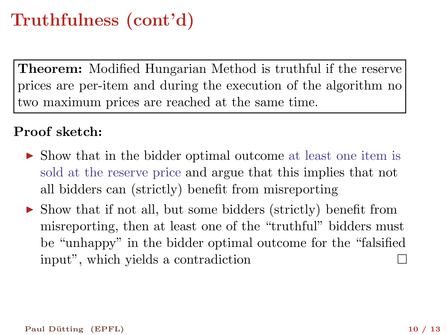# Truthfulness (cont'd)

Theorem: Modified Hungarian Method is truthful if the reserve prices are per-item and during the execution of the algorithm no two maximum prices are reached at the same time.

#### Proof sketch:

- ▶ Show that in the bidder optimal outcome at least one item is sold at the reserve price and argue that this implies that not all bidders can (strictly) benefit from misreporting
- ▶ Show that if not all, but some bidders (strictly) benefit from misreporting, then at least one of the "truthful" bidders must be "unhappy" in the bidder optimal outcome for the "falsified input", which yields a contradiction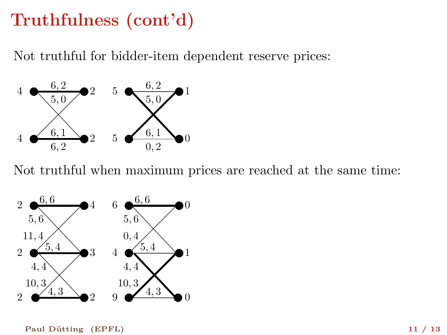# Truthfulness (cont'd)

Not truthful for bidder-item dependent reserve prices:



Not truthful when maximum prices are reached at the same time:



Paul Dütting (EPFL) 11 / 13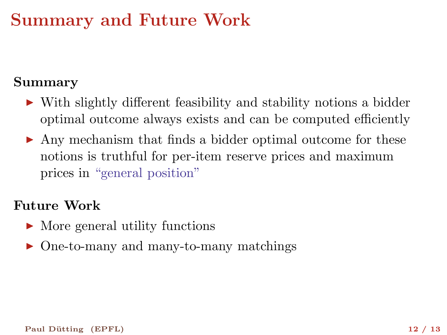### Summary and Future Work

#### Summary

- ▶ With slightly different feasibility and stability notions a bidder optimal outcome always exists and can be computed efficiently
- ▶ Any mechanism that finds a bidder optimal outcome for these notions is truthful for per-item reserve prices and maximum prices in "general position"

#### Future Work

- $\blacktriangleright$  More general utility functions
- ▶ One-to-many and many-to-many matchings